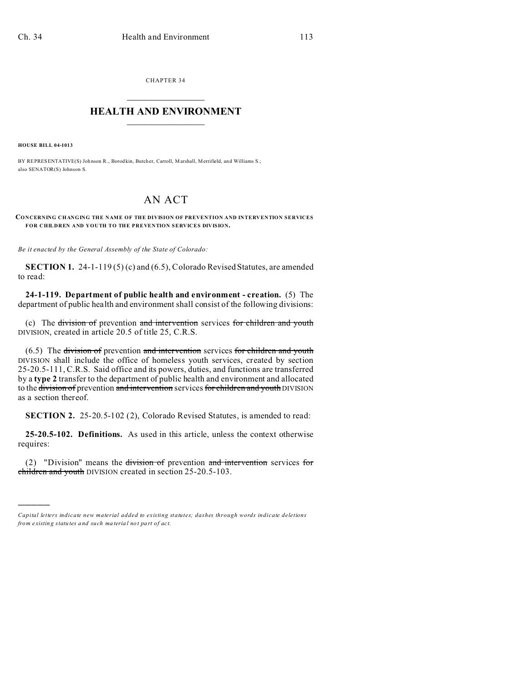CHAPTER 34  $\overline{\phantom{a}}$  , where  $\overline{\phantom{a}}$ 

## **HEALTH AND ENVIRONMENT**  $\_$   $\_$   $\_$   $\_$   $\_$   $\_$   $\_$   $\_$

**HOUSE BILL 04-1013**

)))))

BY REPRESENTATIVE(S) Johnson R., Borod kin, Butcher, Carroll, Marshall, Merrifield, and Williams S.; also SENATOR(S) Johnson S.

## AN ACT

**CONCERNING CHANGING THE NAME OF THE DIVISION OF PREVENTION AND INTERVENTION SERVICES FOR CHILDREN AND YOUTH TO THE PREVENTION SERVICES DIVISION.**

*Be it enacted by the General Assembly of the State of Colorado:*

**SECTION 1.** 24-1-119 (5) (c) and (6.5), Colorado Revised Statutes, are amended to read:

**24-1-119. Department of public health and environment - creation.** (5) The department of public health and environment shall consist of the following divisions:

(c) The division of prevention and intervention services for children and youth DIVISION, created in article 20.5 of title 25, C.R.S.

(6.5) The division of prevention and intervention services for children and youth DIVISION shall include the office of homeless youth services, created by section 25-20.5-111, C.R.S. Said office and its powers, duties, and functions are transferred by a **type 2** transfer to the department of public health and environment and allocated to the division of prevention and intervention services for children and youth DIVISION as a section thereof.

**SECTION 2.** 25-20.5-102 (2), Colorado Revised Statutes, is amended to read:

**25-20.5-102. Definitions.** As used in this article, unless the context otherwise requires:

(2) "Division" means the division of prevention and intervention services for children and youth DIVISION created in section 25-20.5-103.

*Capital letters indicate new material added to existing statutes; dashes through words indicate deletions from e xistin g statu tes a nd such ma teria l no t pa rt of ac t.*